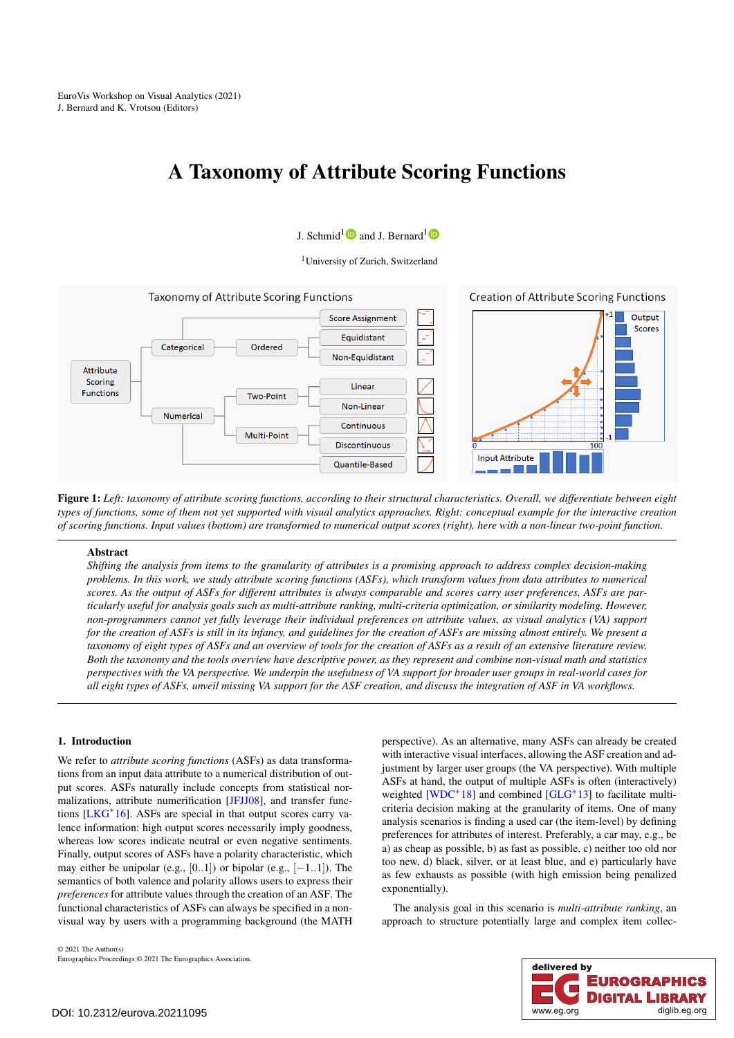# <span id="page-0-1"></span>A Taxonomy of Attribute Scoring Functions

# J. Schmid<sup>[1](https://orcid.org/0000-0001-8741-9709)</sup> $\bullet$  and J. Bernard<sup>1</sup>

<sup>1</sup>University of Zurich, Switzerland



<span id="page-0-0"></span>Figure 1: *Left: taxonomy of attribute scoring functions, according to their structural characteristics. Overall, we differentiate between eight types of functions, some of them not yet supported with visual analytics approaches. Right: conceptual example for the interactive creation of scoring functions. Input values (bottom) are transformed to numerical output scores (right), here with a non-linear two-point function.*

#### Abstract

*Shifting the analysis from items to the granularity of attributes is a promising approach to address complex decision-making problems. In this work, we study attribute scoring functions (ASFs), which transform values from data attributes to numerical scores. As the output of ASFs for different attributes is always comparable and scores carry user preferences, ASFs are particularly useful for analysis goals such as multi-attribute ranking, multi-criteria optimization, or similarity modeling. However, non-programmers cannot yet fully leverage their individual preferences on attribute values, as visual analytics (VA) support for the creation of ASFs is still in its infancy, and guidelines for the creation of ASFs are missing almost entirely. We present a taxonomy of eight types of ASFs and an overview of tools for the creation of ASFs as a result of an extensive literature review. Both the taxonomy and the tools overview have descriptive power, as they represent and combine non-visual math and statistics perspectives with the VA perspective. We underpin the usefulness of VA support for broader user groups in real-world cases for all eight types of ASFs, unveil missing VA support for the ASF creation, and discuss the integration of ASF in VA workflows.*

# 1. Introduction

We refer to *attribute scoring functions* (ASFs) as data transformations from an input data attribute to a numerical distribution of output scores. ASFs naturally include concepts from statistical normalizations, attribute numerification [\[JFJJ08\]](#page-4-0), and transfer functions [\[LKG](#page-4-1)<sup>∗</sup> 16]. ASFs are special in that output scores carry valence information: high output scores necessarily imply goodness, whereas low scores indicate neutral or even negative sentiments. Finally, output scores of ASFs have a polarity characteristic, which may either be unipolar (e.g.,  $[0..1]$ ) or bipolar (e.g.,  $[-1..1]$ ). The semantics of both valence and polarity allows users to express their *preferences* for attribute values through the creation of an ASF. The functional characteristics of ASFs can always be specified in a nonvisual way by users with a programming background (the MATH

© 2021 The Author(s) Eurographics Proceedings © 2021 The Eurographics Association. perspective). As an alternative, many ASFs can already be created with interactive visual interfaces, allowing the ASF creation and adjustment by larger user groups (the VA perspective). With multiple ASFs at hand, the output of multiple ASFs is often (interactively) weighted [\[WDC](#page-4-2)<sup>\*</sup>18] and combined [\[GLG](#page-4-3)<sup>\*</sup>13] to facilitate multicriteria decision making at the granularity of items. One of many analysis scenarios is finding a used car (the item-level) by defining preferences for attributes of interest. Preferably, a car may, e.g., be a) as cheap as possible, b) as fast as possible, c) neither too old nor too new, d) black, silver, or at least blue, and e) particularly have as few exhausts as possible (with high emission being penalized exponentially).

The analysis goal in this scenario is *multi-attribute ranking*, an approach to structure potentially large and complex item collec-

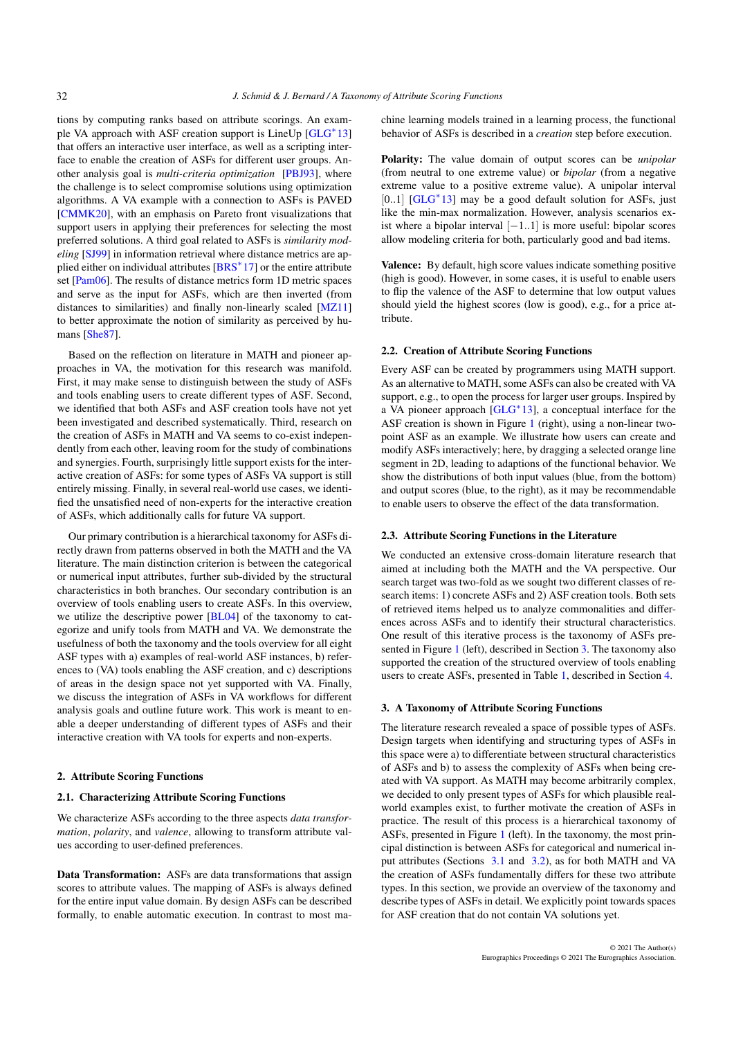<span id="page-1-1"></span>tions by computing ranks based on attribute scorings. An exam-ple VA approach with ASF creation support is LineUp [\[GLG](#page-4-3)<sup>\*</sup>13] that offers an interactive user interface, as well as a scripting interface to enable the creation of ASFs for different user groups. Another analysis goal is *multi-criteria optimization* [\[PBJ93\]](#page-4-4), where the challenge is to select compromise solutions using optimization algorithms. A VA example with a connection to ASFs is PAVED [\[CMMK20\]](#page-4-5), with an emphasis on Pareto front visualizations that support users in applying their preferences for selecting the most preferred solutions. A third goal related to ASFs is *similarity modeling* [\[SJ99\]](#page-4-6) in information retrieval where distance metrics are ap-plied either on individual attributes [\[BRS](#page-4-7)<sup>\*</sup>17] or the entire attribute set [\[Pam06\]](#page-4-8). The results of distance metrics form 1D metric spaces and serve as the input for ASFs, which are then inverted (from distances to similarities) and finally non-linearly scaled [\[MZ11\]](#page-4-9) to better approximate the notion of similarity as perceived by humans [\[She87\]](#page-4-10).

Based on the reflection on literature in MATH and pioneer approaches in VA, the motivation for this research was manifold. First, it may make sense to distinguish between the study of ASFs and tools enabling users to create different types of ASF. Second, we identified that both ASFs and ASF creation tools have not yet been investigated and described systematically. Third, research on the creation of ASFs in MATH and VA seems to co-exist independently from each other, leaving room for the study of combinations and synergies. Fourth, surprisingly little support exists for the interactive creation of ASFs: for some types of ASFs VA support is still entirely missing. Finally, in several real-world use cases, we identified the unsatisfied need of non-experts for the interactive creation of ASFs, which additionally calls for future VA support.

Our primary contribution is a hierarchical taxonomy for ASFs directly drawn from patterns observed in both the MATH and the VA literature. The main distinction criterion is between the categorical or numerical input attributes, further sub-divided by the structural characteristics in both branches. Our secondary contribution is an overview of tools enabling users to create ASFs. In this overview, we utilize the descriptive power [\[BL04\]](#page-4-11) of the taxonomy to categorize and unify tools from MATH and VA. We demonstrate the usefulness of both the taxonomy and the tools overview for all eight ASF types with a) examples of real-world ASF instances, b) references to (VA) tools enabling the ASF creation, and c) descriptions of areas in the design space not yet supported with VA. Finally, we discuss the integration of ASFs in VA workflows for different analysis goals and outline future work. This work is meant to enable a deeper understanding of different types of ASFs and their interactive creation with VA tools for experts and non-experts.

#### 2. Attribute Scoring Functions

#### 2.1. Characterizing Attribute Scoring Functions

We characterize ASFs according to the three aspects *data transformation*, *polarity*, and *valence*, allowing to transform attribute values according to user-defined preferences.

Data Transformation: ASFs are data transformations that assign scores to attribute values. The mapping of ASFs is always defined for the entire input value domain. By design ASFs can be described formally, to enable automatic execution. In contrast to most machine learning models trained in a learning process, the functional behavior of ASFs is described in a *creation* step before execution.

Polarity: The value domain of output scores can be *unipolar* (from neutral to one extreme value) or *bipolar* (from a negative extreme value to a positive extreme value). A unipolar interval [0..1] [\[GLG](#page-4-3)<sup>\*</sup>13] may be a good default solution for ASFs, just like the min-max normalization. However, analysis scenarios exist where a bipolar interval [−1..1] is more useful: bipolar scores allow modeling criteria for both, particularly good and bad items.

Valence: By default, high score values indicate something positive (high is good). However, in some cases, it is useful to enable users to flip the valence of the ASF to determine that low output values should yield the highest scores (low is good), e.g., for a price attribute.

#### 2.2. Creation of Attribute Scoring Functions

Every ASF can be created by programmers using MATH support. As an alternative to MATH, some ASFs can also be created with VA support, e.g., to open the process for larger user groups. Inspired by a VA pioneer approach [\[GLG](#page-4-3)<sup>\*</sup>13], a conceptual interface for the ASF creation is shown in Figure [1](#page-0-0) (right), using a non-linear twopoint ASF as an example. We illustrate how users can create and modify ASFs interactively; here, by dragging a selected orange line segment in 2D, leading to adaptions of the functional behavior. We show the distributions of both input values (blue, from the bottom) and output scores (blue, to the right), as it may be recommendable to enable users to observe the effect of the data transformation.

#### 2.3. Attribute Scoring Functions in the Literature

We conducted an extensive cross-domain literature research that aimed at including both the MATH and the VA perspective. Our search target was two-fold as we sought two different classes of research items: 1) concrete ASFs and 2) ASF creation tools. Both sets of retrieved items helped us to analyze commonalities and differences across ASFs and to identify their structural characteristics. One result of this iterative process is the taxonomy of ASFs presented in Figure [1](#page-0-0) (left), described in Section [3.](#page-1-0) The taxonomy also supported the creation of the structured overview of tools enabling users to create ASFs, presented in Table [1,](#page-3-0) described in Section [4.](#page-2-0)

#### <span id="page-1-0"></span>3. A Taxonomy of Attribute Scoring Functions

The literature research revealed a space of possible types of ASFs. Design targets when identifying and structuring types of ASFs in this space were a) to differentiate between structural characteristics of ASFs and b) to assess the complexity of ASFs when being created with VA support. As MATH may become arbitrarily complex, we decided to only present types of ASFs for which plausible realworld examples exist, to further motivate the creation of ASFs in practice. The result of this process is a hierarchical taxonomy of ASFs, presented in Figure [1](#page-0-0) (left). In the taxonomy, the most principal distinction is between ASFs for categorical and numerical input attributes (Sections [3.1](#page-2-1) and [3.2\)](#page-2-2), as for both MATH and VA the creation of ASFs fundamentally differs for these two attribute types. In this section, we provide an overview of the taxonomy and describe types of ASFs in detail. We explicitly point towards spaces for ASF creation that do not contain VA solutions yet.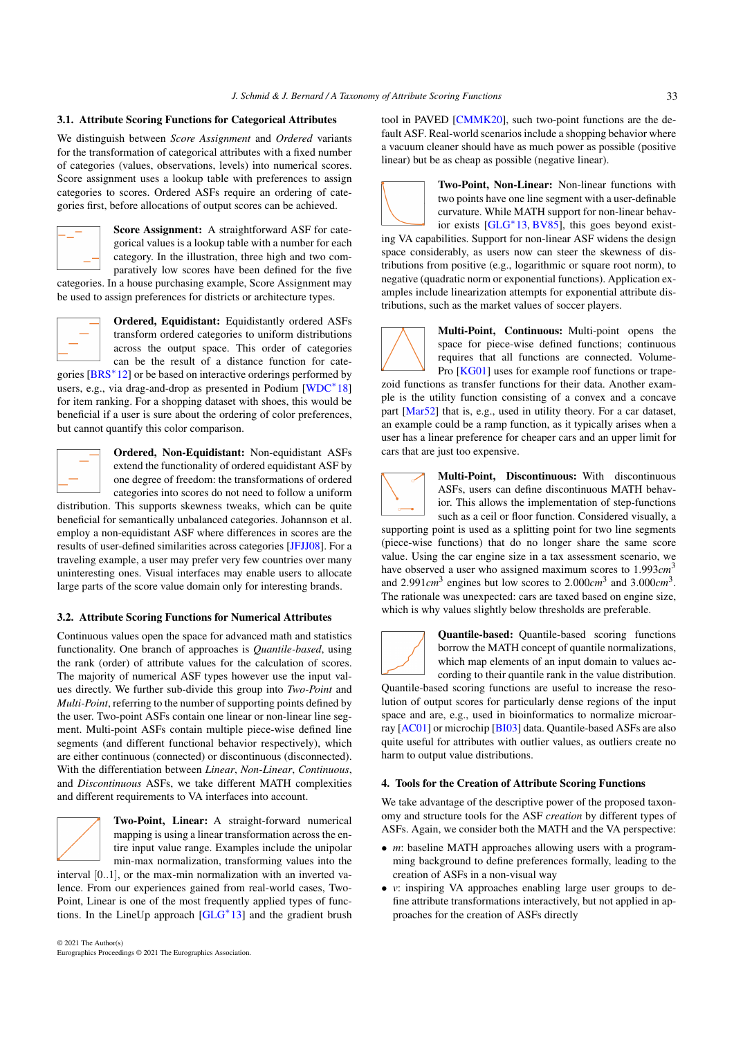# <span id="page-2-3"></span><span id="page-2-1"></span>3.1. Attribute Scoring Functions for Categorical Attributes

We distinguish between *Score Assignment* and *Ordered* variants for the transformation of categorical attributes with a fixed number of categories (values, observations, levels) into numerical scores. Score assignment uses a lookup table with preferences to assign categories to scores. Ordered ASFs require an ordering of categories first, before allocations of output scores can be achieved.



Score Assignment: A straightforward ASF for categorical values is a lookup table with a number for each category. In the illustration, three high and two comparatively low scores have been defined for the five

categories. In a house purchasing example, Score Assignment may be used to assign preferences for districts or architecture types.



Ordered, Equidistant: Equidistantly ordered ASFs transform ordered categories to uniform distributions across the output space. This order of categories can be the result of a distance function for cate-

gories [\[BRS](#page-4-12)<sup>\*</sup>12] or be based on interactive orderings performed by users, e.g., via drag-and-drop as presented in Podium [\[WDC](#page-4-2)<sup>\*</sup>18] for item ranking. For a shopping dataset with shoes, this would be beneficial if a user is sure about the ordering of color preferences, but cannot quantify this color comparison.



Ordered, Non-Equidistant: Non-equidistant ASFs extend the functionality of ordered equidistant ASF by one degree of freedom: the transformations of ordered categories into scores do not need to follow a uniform

distribution. This supports skewness tweaks, which can be quite beneficial for semantically unbalanced categories. Johannson et al. employ a non-equidistant ASF where differences in scores are the results of user-defined similarities across categories [\[JFJJ08\]](#page-4-0). For a traveling example, a user may prefer very few countries over many uninteresting ones. Visual interfaces may enable users to allocate large parts of the score value domain only for interesting brands.

#### <span id="page-2-2"></span>3.2. Attribute Scoring Functions for Numerical Attributes

Continuous values open the space for advanced math and statistics functionality. One branch of approaches is *Quantile-based*, using the rank (order) of attribute values for the calculation of scores. The majority of numerical ASF types however use the input values directly. We further sub-divide this group into *Two-Point* and *Multi-Point*, referring to the number of supporting points defined by the user. Two-point ASFs contain one linear or non-linear line segment. Multi-point ASFs contain multiple piece-wise defined line segments (and different functional behavior respectively), which are either continuous (connected) or discontinuous (disconnected). With the differentiation between *Linear*, *Non-Linear*, *Continuous*, and *Discontinuous* ASFs, we take different MATH complexities and different requirements to VA interfaces into account.



Two-Point, Linear: A straight-forward numerical mapping is using a linear transformation across the entire input value range. Examples include the unipolar min-max normalization, transforming values into the

interval [0..1], or the max-min normalization with an inverted valence. From our experiences gained from real-world cases, Two-Point, Linear is one of the most frequently applied types of functions. In the LineUp approach [\[GLG](#page-4-3)<sup>∗</sup> 13] and the gradient brush tool in PAVED [\[CMMK20\]](#page-4-5), such two-point functions are the default ASF. Real-world scenarios include a shopping behavior where a vacuum cleaner should have as much power as possible (positive linear) but be as cheap as possible (negative linear).



Two-Point, Non-Linear: Non-linear functions with two points have one line segment with a user-definable curvature. While MATH support for non-linear behavior exists [\[GLG](#page-4-3)<sup>∗</sup> 13, [BV85\]](#page-4-13), this goes beyond exist-

ing VA capabilities. Support for non-linear ASF widens the design space considerably, as users now can steer the skewness of distributions from positive (e.g., logarithmic or square root norm), to negative (quadratic norm or exponential functions). Application examples include linearization attempts for exponential attribute distributions, such as the market values of soccer players.



Multi-Point, Continuous: Multi-point opens the space for piece-wise defined functions; continuous requires that all functions are connected. Volume-Pro [\[KG01\]](#page-4-14) uses for example roof functions or trape-

zoid functions as transfer functions for their data. Another example is the utility function consisting of a convex and a concave part [\[Mar52\]](#page-4-15) that is, e.g., used in utility theory. For a car dataset, an example could be a ramp function, as it typically arises when a user has a linear preference for cheaper cars and an upper limit for cars that are just too expensive.

Multi-Point, Discontinuous: With discontinuous ASFs, users can define discontinuous MATH behavior. This allows the implementation of step-functions such as a ceil or floor function. Considered visually, a

supporting point is used as a splitting point for two line segments (piece-wise functions) that do no longer share the same score value. Using the car engine size in a tax assessment scenario, we have observed a user who assigned maximum scores to 1.993*cm*<sup>3</sup> and  $2.991cm^3$  engines but low scores to  $2.000cm^3$  and  $3.000cm^3$ . The rationale was unexpected: cars are taxed based on engine size, which is why values slightly below thresholds are preferable.



Quantile-based: Quantile-based scoring functions borrow the MATH concept of quantile normalizations, which map elements of an input domain to values according to their quantile rank in the value distribution.

Quantile-based scoring functions are useful to increase the resolution of output scores for particularly dense regions of the input space and are, e.g., used in bioinformatics to normalize microarray [\[AC01\]](#page-4-16) or microchip [\[BI03\]](#page-4-17) data. Quantile-based ASFs are also quite useful for attributes with outlier values, as outliers create no harm to output value distributions.

#### <span id="page-2-0"></span>4. Tools for the Creation of Attribute Scoring Functions

We take advantage of the descriptive power of the proposed taxonomy and structure tools for the ASF *creation* by different types of ASFs. Again, we consider both the MATH and the VA perspective:

- *m*: baseline MATH approaches allowing users with a programming background to define preferences formally, leading to the creation of ASFs in a non-visual way
- *v*: inspiring VA approaches enabling large user groups to define attribute transformations interactively, but not applied in approaches for the creation of ASFs directly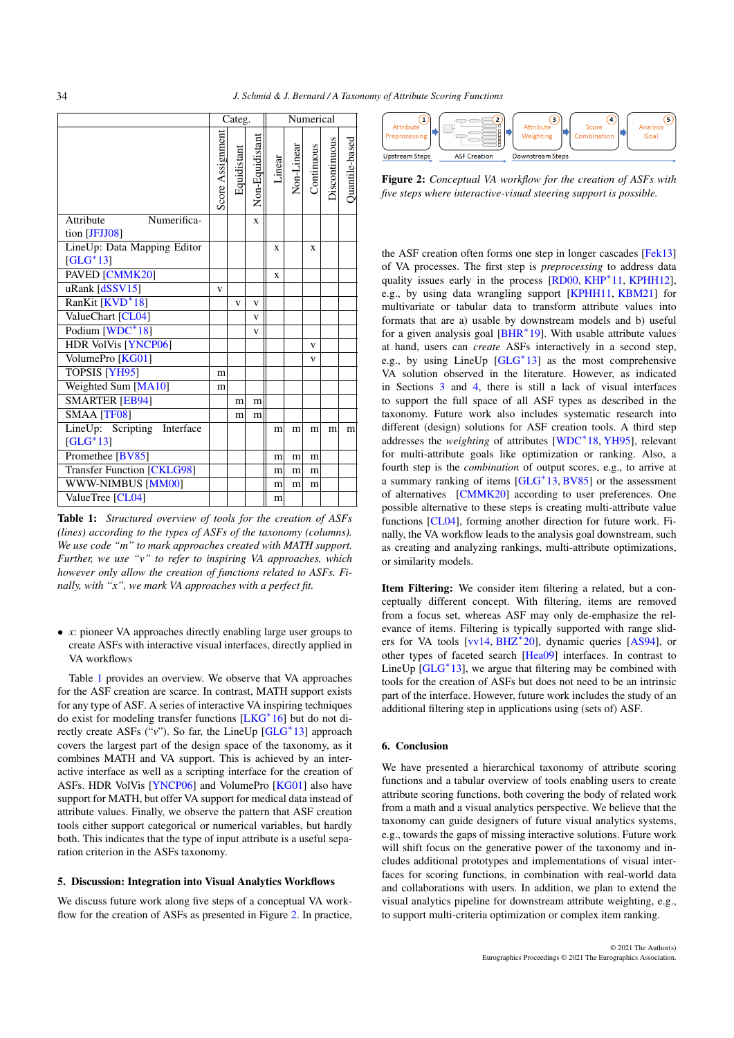<span id="page-3-2"></span>

|                                   | Categ.           |             |                 | Numerical |            |            |               |                |
|-----------------------------------|------------------|-------------|-----------------|-----------|------------|------------|---------------|----------------|
|                                   | Score Assignment | Equidistant | Non-Equidistant | Linear    | Non-Linear | Continuous | Discontinuous | Quantile-based |
| Attribute<br>Numerifica-          |                  |             | $\mathbf{x}$    |           |            |            |               |                |
| tion [JFJJ08]                     |                  |             |                 |           |            |            |               |                |
| LineUp: Data Mapping Editor       |                  |             |                 | X         |            | X          |               |                |
| $[GLG^*13]$                       |                  |             |                 |           |            |            |               |                |
| PAVED [CMMK20]                    |                  |             |                 | X         |            |            |               |                |
| uRank [dSSV15]                    | v                |             |                 |           |            |            |               |                |
| RanKit [KVD <sup>*</sup> 18]      |                  | V           | $\mathbf{V}$    |           |            |            |               |                |
| ValueChart [CL04]                 |                  |             | $\mathbf{V}$    |           |            |            |               |                |
| Podium [WDC*18]                   |                  |             | v               |           |            |            |               |                |
| <b>HDR VolVis [YNCP06]</b>        |                  |             |                 |           |            | v          |               |                |
| VolumePro [KG01]                  |                  |             |                 |           |            | V          |               |                |
| <b>TOPSIS [YH95]</b>              | m                |             |                 |           |            |            |               |                |
| Weighted Sum [MA10]               | m                |             |                 |           |            |            |               |                |
| <b>SMARTER [EB94]</b>             |                  | m           | m               |           |            |            |               |                |
| <b>SMAA [TF08]</b>                |                  | m           | m               |           |            |            |               |                |
| LineUp: Scripting Interface       |                  |             |                 | m         | m          | m          | m             | m              |
| $[GLG^*13]$                       |                  |             |                 |           |            |            |               |                |
| Promethee [BV85]                  |                  |             |                 | m         | m          | m          |               |                |
| <b>Transfer Function [CKLG98]</b> |                  |             |                 | m         | m          | m          |               |                |
| <b>WWW-NIMBUS [MM00]</b>          |                  |             |                 | m         | m          | m          |               |                |
| ValueTree [CL04]                  |                  |             |                 | m         |            |            |               |                |

<span id="page-3-0"></span>Table 1: *Structured overview of tools for the creation of ASFs (lines) according to the types of ASFs of the taxonomy (columns). We use code "m" to mark approaches created with MATH support. Further, we use "v" to refer to inspiring VA approaches, which however only allow the creation of functions related to ASFs. Finally, with "x", we mark VA approaches with a perfect fit.*

• *x*: pioneer VA approaches directly enabling large user groups to create ASFs with interactive visual interfaces, directly applied in VA workflows

Table [1](#page-3-0) provides an overview. We observe that VA approaches for the ASF creation are scarce. In contrast, MATH support exists for any type of ASF. A series of interactive VA inspiring techniques do exist for modeling transfer functions [\[LKG](#page-4-1)<sup>∗</sup> 16] but do not directly create ASFs ("*v*"). So far, the LineUp [\[GLG](#page-4-3)<sup>∗</sup> 13] approach covers the largest part of the design space of the taxonomy, as it combines MATH and VA support. This is achieved by an interactive interface as well as a scripting interface for the creation of ASFs. HDR VolVis [\[YNCP06\]](#page-4-21) and VolumePro [\[KG01\]](#page-4-14) also have support for MATH, but offer VA support for medical data instead of attribute values. Finally, we observe the pattern that ASF creation tools either support categorical or numerical variables, but hardly both. This indicates that the type of input attribute is a useful separation criterion in the ASFs taxonomy.

## 5. Discussion: Integration into Visual Analytics Workflows

We discuss future work along five steps of a conceptual VA work-flow for the creation of ASFs as presented in Figure [2.](#page-3-1) In practice,



<span id="page-3-1"></span>Figure 2: *Conceptual VA workflow for the creation of ASFs with five steps where interactive-visual steering support is possible.*

the ASF creation often forms one step in longer cascades [\[Fek13\]](#page-4-28) of VA processes. The first step is *preprocessing* to address data quality issues early in the process [\[RD00,](#page-4-29) [KHP](#page-4-30)<sup>∗</sup>11, [KPHH12\]](#page-4-31), e.g., by using data wrangling support [\[KPHH11,](#page-4-32) [KBM21\]](#page-4-33) for multivariate or tabular data to transform attribute values into formats that are a) usable by downstream models and b) useful for a given analysis goal [\[BHR](#page-4-34)<sup>\*</sup>19]. With usable attribute values at hand, users can *create* ASFs interactively in a second step, e.g., by using LineUp [\[GLG](#page-4-3)<sup>\*</sup>13] as the most comprehensive VA solution observed in the literature. However, as indicated in Sections [3](#page-1-0) and [4,](#page-2-0) there is still a lack of visual interfaces to support the full space of all ASF types as described in the taxonomy. Future work also includes systematic research into different (design) solutions for ASF creation tools. A third step addresses the *weighting* of attributes [\[WDC](#page-4-2)<sup>∗</sup> 18, [YH95\]](#page-4-22), relevant for multi-attribute goals like optimization or ranking. Also, a fourth step is the *combination* of output scores, e.g., to arrive at a summary ranking of items [\[GLG](#page-4-3)<sup>\*</sup>13, [BV85\]](#page-4-13) or the assessment of alternatives [\[CMMK20\]](#page-4-5) according to user preferences. One possible alternative to these steps is creating multi-attribute value functions [\[CL04\]](#page-4-20), forming another direction for future work. Finally, the VA workflow leads to the analysis goal downstream, such as creating and analyzing rankings, multi-attribute optimizations, or similarity models.

Item Filtering: We consider item filtering a related, but a conceptually different concept. With filtering, items are removed from a focus set, whereas ASF may only de-emphasize the relevance of items. Filtering is typically supported with range slid-ers for VA tools [\[vv14,](#page-4-35) [BHZ](#page-4-36)<sup>∗</sup>20], dynamic queries [\[AS94\]](#page-4-37), or other types of faceted search [\[Hea09\]](#page-4-38) interfaces. In contrast to LineUp [\[GLG](#page-4-3)<sup>\*</sup>13], we argue that filtering may be combined with tools for the creation of ASFs but does not need to be an intrinsic part of the interface. However, future work includes the study of an additional filtering step in applications using (sets of) ASF.

#### 6. Conclusion

We have presented a hierarchical taxonomy of attribute scoring functions and a tabular overview of tools enabling users to create attribute scoring functions, both covering the body of related work from a math and a visual analytics perspective. We believe that the taxonomy can guide designers of future visual analytics systems, e.g., towards the gaps of missing interactive solutions. Future work will shift focus on the generative power of the taxonomy and includes additional prototypes and implementations of visual interfaces for scoring functions, in combination with real-world data and collaborations with users. In addition, we plan to extend the visual analytics pipeline for downstream attribute weighting, e.g., to support multi-criteria optimization or complex item ranking.